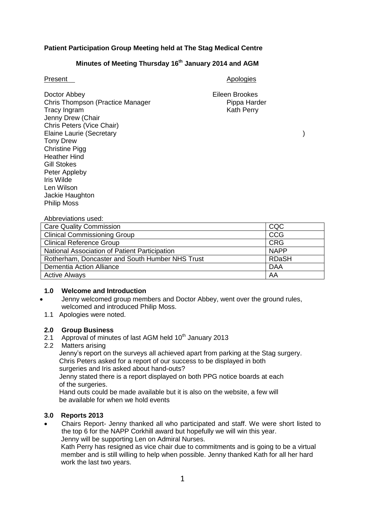## **Patient Participation Group Meeting held at The Stag Medical Centre**

## **Minutes of Meeting Thursday 16th January 2014 and AGM**

Doctor Abbey Eileen Brookes Chris Thompson (Practice Manager Pippa Harder Pippa Harder Tracy Ingram Kath Perry Jenny Drew (Chair Chris Peters (Vice Chair) Elaine Laurie (Secretary ) Tony Drew Christine Pigg Heather Hind Gill Stokes Peter Appleby Iris Wilde Len Wilson Jackie Haughton Philip Moss

## Present Apologies Apologies

### Abbreviations used:

| <b>Care Quality Commission</b>                  | CQC          |
|-------------------------------------------------|--------------|
| <b>Clinical Commissioning Group</b>             | CCG          |
| <b>Clinical Reference Group</b>                 | <b>CRG</b>   |
| National Association of Patient Participation   | <b>NAPP</b>  |
| Rotherham, Doncaster and South Humber NHS Trust | <b>RDaSH</b> |
| Dementia Action Alliance                        | <b>DAA</b>   |
| <b>Active Always</b>                            | AA           |

### **1.0 Welcome and Introduction**

- Jenny welcomed group members and Doctor Abbey, went over the ground rules, welcomed and introduced Philip Moss.
- 1.1 Apologies were noted.

## **2.0 Group Business**

- 2.1 Approval of minutes of last AGM held  $10<sup>th</sup>$  January 2013
- 2.2 Matters arising

 Jenny's report on the surveys all achieved apart from parking at the Stag surgery. Chris Peters asked for a report of our success to be displayed in both surgeries and Iris asked about hand-outs?

 Jenny stated there is a report displayed on both PPG notice boards at each of the surgeries.

 Hand outs could be made available but it is also on the website, a few will be available for when we hold events

## **3.0 Reports 2013**

 Chairs Report- Jenny thanked all who participated and staff. We were short listed to the top 6 for the NAPP Corkhill award but hopefully we will win this year. Jenny will be supporting Len on Admiral Nurses.

 Kath Perry has resigned as vice chair due to commitments and is going to be a virtual member and is still willing to help when possible. Jenny thanked Kath for all her hard work the last two years.